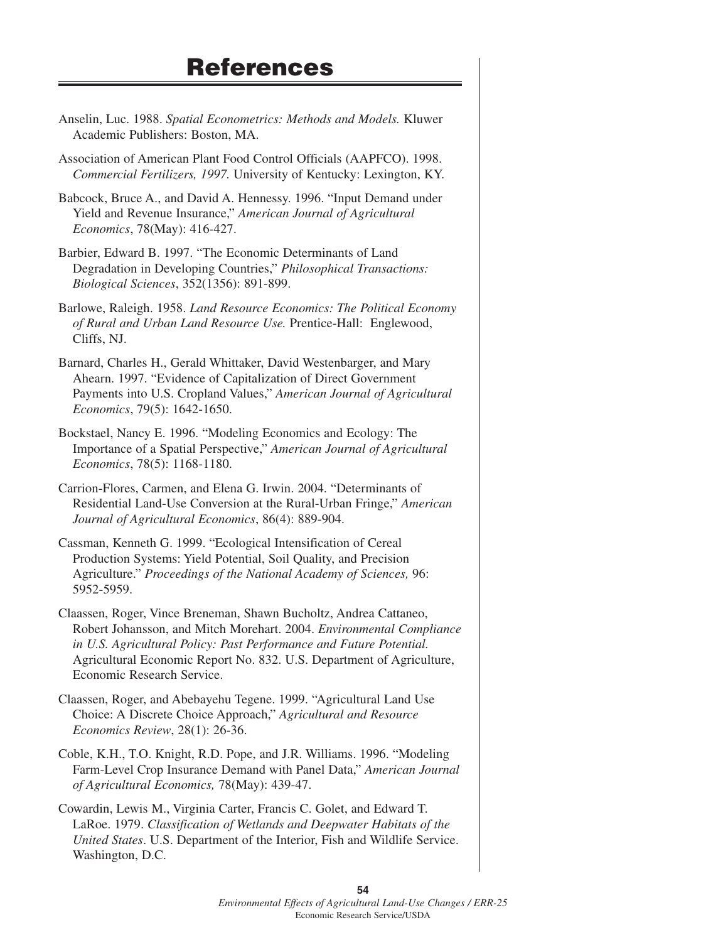## **References**

- Anselin, Luc. 1988. *Spatial Econometrics: Methods and Models.* Kluwer Academic Publishers: Boston, MA.
- Association of American Plant Food Control Officials (AAPFCO). 1998. *Commercial Fertilizers, 1997.* University of Kentucky: Lexington, KY.
- Babcock, Bruce A., and David A. Hennessy. 1996. "Input Demand under Yield and Revenue Insurance," *American Journal of Agricultural Economics*, 78(May): 416-427.
- Barbier, Edward B. 1997. "The Economic Determinants of Land Degradation in Developing Countries," *Philosophical Transactions: Biological Sciences*, 352(1356): 891-899.
- Barlowe, Raleigh. 1958. *Land Resource Economics: The Political Economy of Rural and Urban Land Resource Use.* Prentice-Hall: Englewood, Cliffs, NJ.
- Barnard, Charles H., Gerald Whittaker, David Westenbarger, and Mary Ahearn. 1997. "Evidence of Capitalization of Direct Government Payments into U.S. Cropland Values," *American Journal of Agricultural Economics*, 79(5): 1642-1650.
- Bockstael, Nancy E. 1996. "Modeling Economics and Ecology: The Importance of a Spatial Perspective," *American Journal of Agricultural Economics*, 78(5): 1168-1180.
- Carrion-Flores, Carmen, and Elena G. Irwin. 2004. "Determinants of Residential Land-Use Conversion at the Rural-Urban Fringe," *American Journal of Agricultural Economics*, 86(4): 889-904.
- Cassman, Kenneth G. 1999. "Ecological Intensification of Cereal Production Systems: Yield Potential, Soil Quality, and Precision Agriculture." *Proceedings of the National Academy of Sciences,* 96: 5952-5959.
- Claassen, Roger, Vince Breneman, Shawn Bucholtz, Andrea Cattaneo, Robert Johansson, and Mitch Morehart. 2004. *Environmental Compliance in U.S. Agricultural Policy: Past Performance and Future Potential.* Agricultural Economic Report No. 832. U.S. Department of Agriculture, Economic Research Service.
- Claassen, Roger, and Abebayehu Tegene. 1999. "Agricultural Land Use Choice: A Discrete Choice Approach," *Agricultural and Resource Economics Review*, 28(1): 26-36.
- Coble, K.H., T.O. Knight, R.D. Pope, and J.R. Williams. 1996. "Modeling Farm-Level Crop Insurance Demand with Panel Data," *American Journal of Agricultural Economics,* 78(May): 439-47.
- Cowardin, Lewis M., Virginia Carter, Francis C. Golet, and Edward T. LaRoe. 1979. *Classification of Wetlands and Deepwater Habitats of the United States*. U.S. Department of the Interior, Fish and Wildlife Service. Washington, D.C.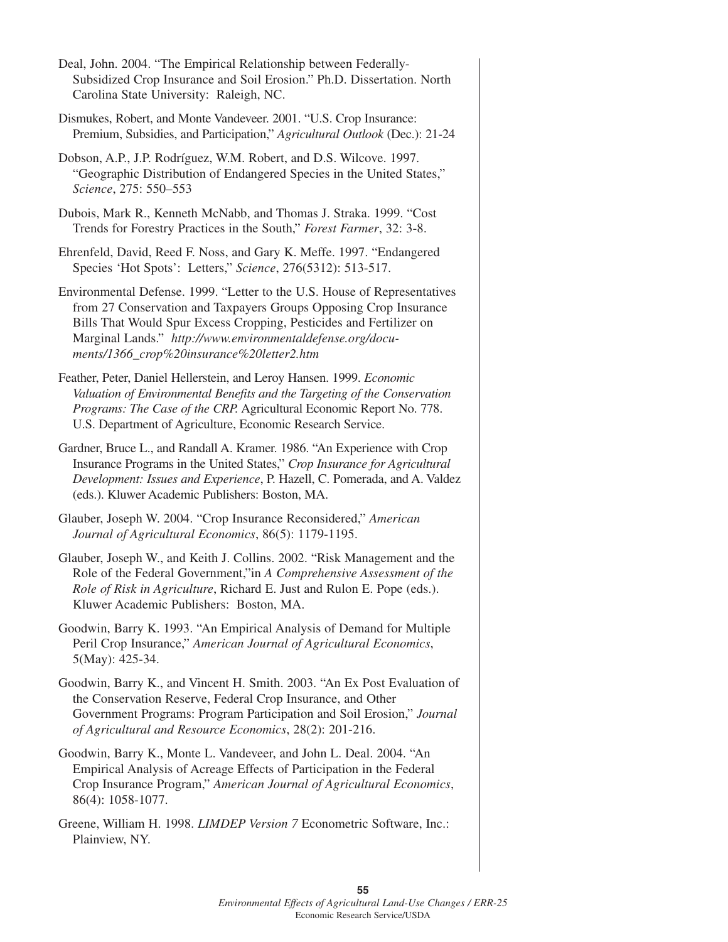| Deal, John. 2004. "The Empirical Relationship between Federally-<br>Subsidized Crop Insurance and Soil Erosion." Ph.D. Dissertation. North<br>Carolina State University: Raleigh, NC.                                                                                                                                            |
|----------------------------------------------------------------------------------------------------------------------------------------------------------------------------------------------------------------------------------------------------------------------------------------------------------------------------------|
| Dismukes, Robert, and Monte Vandeveer. 2001. "U.S. Crop Insurance:<br>Premium, Subsidies, and Participation," Agricultural Outlook (Dec.): 21-24                                                                                                                                                                                 |
| Dobson, A.P., J.P. Rodríguez, W.M. Robert, and D.S. Wilcove. 1997.<br>"Geographic Distribution of Endangered Species in the United States,"<br>Science, 275: 550-553                                                                                                                                                             |
| Dubois, Mark R., Kenneth McNabb, and Thomas J. Straka. 1999. "Cost<br>Trends for Forestry Practices in the South," Forest Farmer, 32: 3-8.                                                                                                                                                                                       |
| Ehrenfeld, David, Reed F. Noss, and Gary K. Meffe. 1997. "Endangered<br>Species 'Hot Spots': Letters," Science, 276(5312): 513-517.                                                                                                                                                                                              |
| Environmental Defense. 1999. "Letter to the U.S. House of Representatives<br>from 27 Conservation and Taxpayers Groups Opposing Crop Insurance<br>Bills That Would Spur Excess Cropping, Pesticides and Fertilizer on<br>Marginal Lands." http://www.environmentaldefense.org/docu-<br>ments/1366_crop%20insurance%20letter2.htm |
| Feather, Peter, Daniel Hellerstein, and Leroy Hansen. 1999. Economic<br>Valuation of Environmental Benefits and the Targeting of the Conservation<br>Programs: The Case of the CRP. Agricultural Economic Report No. 778.<br>U.S. Department of Agriculture, Economic Research Service.                                          |
| Gardner, Bruce L., and Randall A. Kramer. 1986. "An Experience with Crop<br>Insurance Programs in the United States," Crop Insurance for Agricultural<br>Development: Issues and Experience, P. Hazell, C. Pomerada, and A. Valdez<br>(eds.). Kluwer Academic Publishers: Boston, MA.                                            |
| Glauber, Joseph W. 2004. "Crop Insurance Reconsidered," American<br>Journal of Agricultural Economics, 86(5): 1179-1195.                                                                                                                                                                                                         |
| Glauber, Joseph W., and Keith J. Collins. 2002. "Risk Management and the<br>Role of the Federal Government,"in A Comprehensive Assessment of the<br>Role of Risk in Agriculture, Richard E. Just and Rulon E. Pope (eds.).<br>Kluwer Academic Publishers: Boston, MA.                                                            |
| Goodwin, Barry K. 1993. "An Empirical Analysis of Demand for Multiple<br>Peril Crop Insurance," American Journal of Agricultural Economics,<br>5(May): 425-34.                                                                                                                                                                   |
| Goodwin, Barry K., and Vincent H. Smith. 2003. "An Ex Post Evaluation of<br>the Conservation Reserve, Federal Crop Insurance, and Other<br>Government Programs: Program Participation and Soil Erosion," Journal<br>of Agricultural and Resource Economics, 28(2): 201-216.                                                      |
| Goodwin, Barry K., Monte L. Vandeveer, and John L. Deal. 2004. "An<br>Empirical Analysis of Acreage Effects of Participation in the Federal<br>Crop Insurance Program," American Journal of Agricultural Economics,<br>86(4): 1058-1077.                                                                                         |

Greene, William H. 1998. *LIMDEP Version 7* Econometric Software, Inc.: Plainview, NY.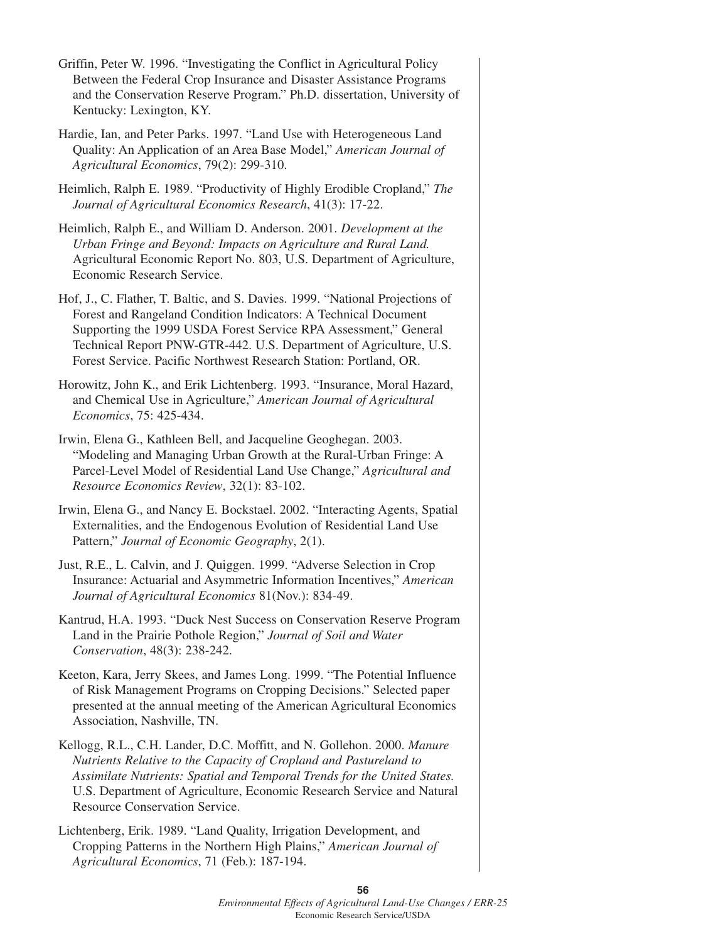- Griffin, Peter W. 1996. "Investigating the Conflict in Agricultural Policy Between the Federal Crop Insurance and Disaster Assistance Programs and the Conservation Reserve Program." Ph.D. dissertation, University of Kentucky: Lexington, KY.
- Hardie, Ian, and Peter Parks. 1997. "Land Use with Heterogeneous Land Quality: An Application of an Area Base Model," *American Journal of Agricultural Economics*, 79(2): 299-310.
- Heimlich, Ralph E. 1989. "Productivity of Highly Erodible Cropland," *The Journal of Agricultural Economics Research*, 41(3): 17-22.
- Heimlich, Ralph E., and William D. Anderson. 2001. *Development at the Urban Fringe and Beyond: Impacts on Agriculture and Rural Land.* Agricultural Economic Report No. 803, U.S. Department of Agriculture, Economic Research Service.
- Hof, J., C. Flather, T. Baltic, and S. Davies. 1999. "National Projections of Forest and Rangeland Condition Indicators: A Technical Document Supporting the 1999 USDA Forest Service RPA Assessment," General Technical Report PNW-GTR-442. U.S. Department of Agriculture, U.S. Forest Service. Pacific Northwest Research Station: Portland, OR.
- Horowitz, John K., and Erik Lichtenberg. 1993. "Insurance, Moral Hazard, and Chemical Use in Agriculture," *American Journal of Agricultural Economics*, 75: 425-434.
- Irwin, Elena G., Kathleen Bell, and Jacqueline Geoghegan. 2003. "Modeling and Managing Urban Growth at the Rural-Urban Fringe: A Parcel-Level Model of Residential Land Use Change," *Agricultural and Resource Economics Review*, 32(1): 83-102.
- Irwin, Elena G., and Nancy E. Bockstael. 2002. "Interacting Agents, Spatial Externalities, and the Endogenous Evolution of Residential Land Use Pattern," *Journal of Economic Geography*, 2(1).
- Just, R.E., L. Calvin, and J. Quiggen. 1999. "Adverse Selection in Crop Insurance: Actuarial and Asymmetric Information Incentives," *American Journal of Agricultural Economics* 81(Nov.): 834-49.
- Kantrud, H.A. 1993. "Duck Nest Success on Conservation Reserve Program Land in the Prairie Pothole Region," *Journal of Soil and Water Conservation*, 48(3): 238-242.
- Keeton, Kara, Jerry Skees, and James Long. 1999. "The Potential Influence of Risk Management Programs on Cropping Decisions." Selected paper presented at the annual meeting of the American Agricultural Economics Association, Nashville, TN.
- Kellogg, R.L., C.H. Lander, D.C. Moffitt, and N. Gollehon. 2000. *Manure Nutrients Relative to the Capacity of Cropland and Pastureland to Assimilate Nutrients: Spatial and Temporal Trends for the United States.* U.S. Department of Agriculture, Economic Research Service and Natural Resource Conservation Service.
- Lichtenberg, Erik. 1989. "Land Quality, Irrigation Development, and Cropping Patterns in the Northern High Plains," *American Journal of Agricultural Economics*, 71 (Feb.): 187-194.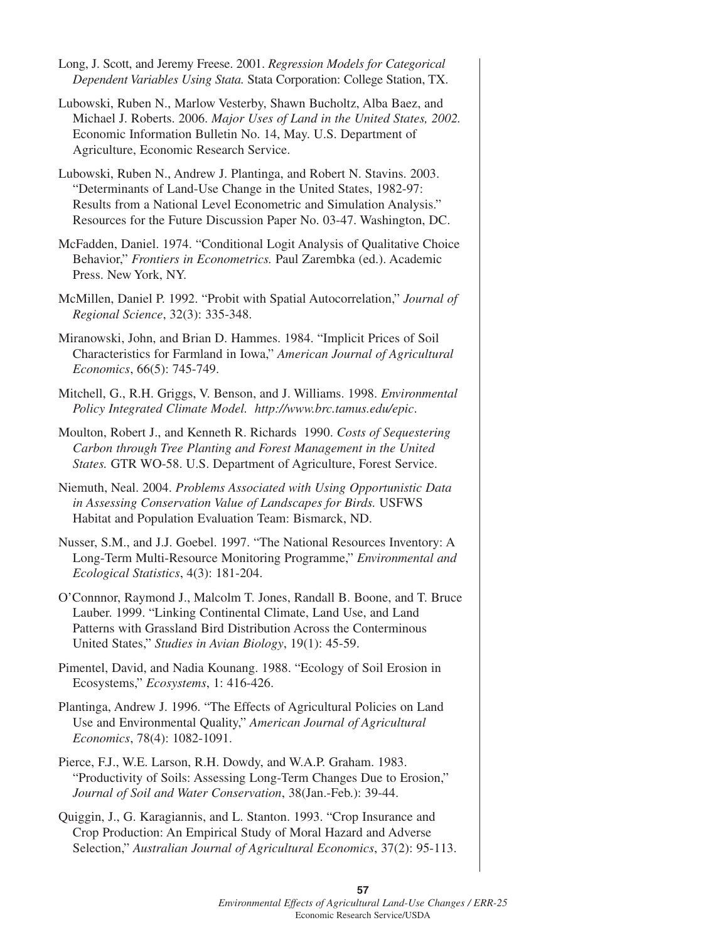| Long, J. Scott, and Jeremy Freese. 2001. Regression Models for Categorical<br>Dependent Variables Using Stata. Stata Corporation: College Station, TX.                                                                                                                                  |
|-----------------------------------------------------------------------------------------------------------------------------------------------------------------------------------------------------------------------------------------------------------------------------------------|
| Lubowski, Ruben N., Marlow Vesterby, Shawn Bucholtz, Alba Baez, and<br>Michael J. Roberts. 2006. Major Uses of Land in the United States, 2002.<br>Economic Information Bulletin No. 14, May. U.S. Department of<br>Agriculture, Economic Research Service.                             |
| Lubowski, Ruben N., Andrew J. Plantinga, and Robert N. Stavins. 2003.<br>"Determinants of Land-Use Change in the United States, 1982-97:<br>Results from a National Level Econometric and Simulation Analysis."<br>Resources for the Future Discussion Paper No. 03-47. Washington, DC. |
| McFadden, Daniel. 1974. "Conditional Logit Analysis of Qualitative Choice<br>Behavior," Frontiers in Econometrics. Paul Zarembka (ed.). Academic<br>Press. New York, NY.                                                                                                                |
| McMillen, Daniel P. 1992. "Probit with Spatial Autocorrelation," Journal of<br>Regional Science, 32(3): 335-348.                                                                                                                                                                        |
| Miranowski, John, and Brian D. Hammes. 1984. "Implicit Prices of Soil<br>Characteristics for Farmland in Iowa," American Journal of Agricultural<br>Economics, 66(5): 745-749.                                                                                                          |
| Mitchell, G., R.H. Griggs, V. Benson, and J. Williams. 1998. Environmental<br>Policy Integrated Climate Model. http://www.brc.tamus.edu/epic.                                                                                                                                           |
| Moulton, Robert J., and Kenneth R. Richards 1990. Costs of Sequestering<br>Carbon through Tree Planting and Forest Management in the United<br>States. GTR WO-58. U.S. Department of Agriculture, Forest Service.                                                                       |
| Niemuth, Neal. 2004. Problems Associated with Using Opportunistic Data<br>in Assessing Conservation Value of Landscapes for Birds. USFWS<br>Habitat and Population Evaluation Team: Bismarck, ND.                                                                                       |
| Nusser, S.M., and J.J. Goebel. 1997. "The National Resources Inventory: A<br>Long-Term Multi-Resource Monitoring Programme," Environmental and<br>Ecological Statistics, 4(3): 181-204.                                                                                                 |
| O'Connnor, Raymond J., Malcolm T. Jones, Randall B. Boone, and T. Bruce<br>Lauber. 1999. "Linking Continental Climate, Land Use, and Land<br>Patterns with Grassland Bird Distribution Across the Conterminous<br>United States," Studies in Avian Biology, 19(1): 45-59.               |
| Pimentel, David, and Nadia Kounang. 1988. "Ecology of Soil Erosion in<br>Ecosystems," Ecosystems, 1: 416-426.                                                                                                                                                                           |
| Plantinga, Andrew J. 1996. "The Effects of Agricultural Policies on Land<br>Use and Environmental Quality," American Journal of Agricultural<br>Economics, 78(4): 1082-1091.                                                                                                            |
| Pierce, F.J., W.E. Larson, R.H. Dowdy, and W.A.P. Graham. 1983.<br>"Productivity of Soils: Assessing Long-Term Changes Due to Erosion,"<br>Journal of Soil and Water Conservation, 38(Jan.-Feb.): 39-44.                                                                                |

Quiggin, J., G. Karagiannis, and L. Stanton. 1993. "Crop Insurance and Crop Production: An Empirical Study of Moral Hazard and Adverse Selection," *Australian Journal of Agricultural Economics*, 37(2): 95-113.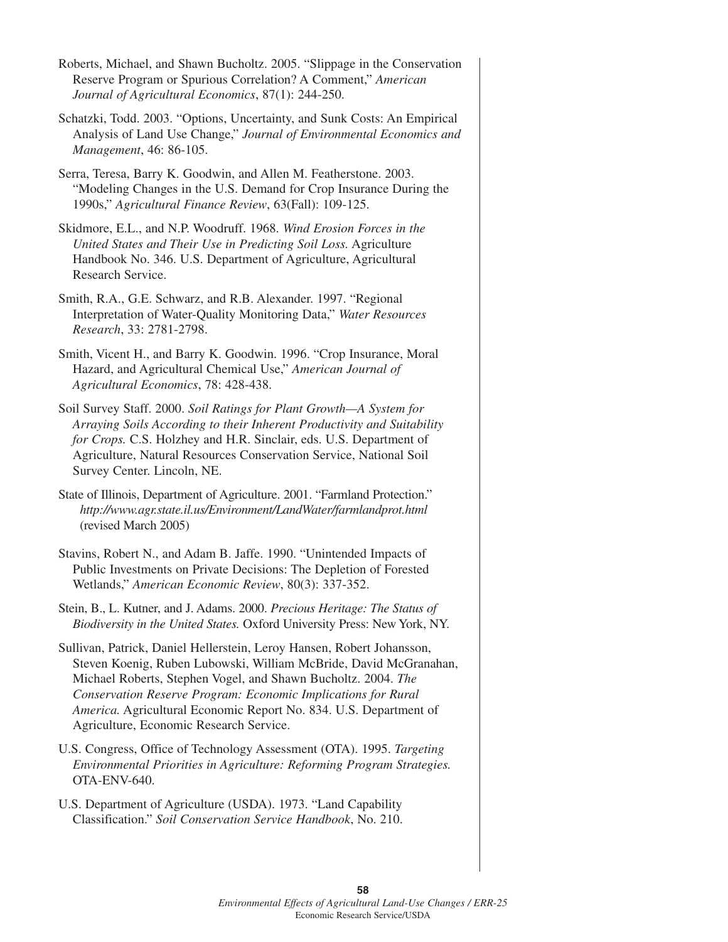- Roberts, Michael, and Shawn Bucholtz. 2005. "Slippage in the Conservation Reserve Program or Spurious Correlation? A Comment," *American Journal of Agricultural Economics*, 87(1): 244-250.
- Schatzki, Todd. 2003. "Options, Uncertainty, and Sunk Costs: An Empirical Analysis of Land Use Change," *Journal of Environmental Economics and Management*, 46: 86-105.
- Serra, Teresa, Barry K. Goodwin, and Allen M. Featherstone. 2003. "Modeling Changes in the U.S. Demand for Crop Insurance During the 1990s," *Agricultural Finance Review*, 63(Fall): 109-125.
- Skidmore, E.L., and N.P. Woodruff. 1968. *Wind Erosion Forces in the United States and Their Use in Predicting Soil Loss.* Agriculture Handbook No. 346. U.S. Department of Agriculture, Agricultural Research Service.
- Smith, R.A., G.E. Schwarz, and R.B. Alexander. 1997. "Regional Interpretation of Water-Quality Monitoring Data," *Water Resources Research*, 33: 2781-2798.
- Smith, Vicent H., and Barry K. Goodwin. 1996. "Crop Insurance, Moral Hazard, and Agricultural Chemical Use," *American Journal of Agricultural Economics*, 78: 428-438.
- Soil Survey Staff. 2000. *Soil Ratings for Plant Growth—A System for Arraying Soils According to their Inherent Productivity and Suitability for Crops.* C.S. Holzhey and H.R. Sinclair, eds. U.S. Department of Agriculture, Natural Resources Conservation Service, National Soil Survey Center. Lincoln, NE.
- State of Illinois, Department of Agriculture. 2001. "Farmland Protection." *http://www.agr.state.il.us/Environment/LandWater/farmlandprot.html* (revised March 2005)
- Stavins, Robert N., and Adam B. Jaffe. 1990. "Unintended Impacts of Public Investments on Private Decisions: The Depletion of Forested Wetlands," *American Economic Review*, 80(3): 337-352.
- Stein, B., L. Kutner, and J. Adams. 2000. *Precious Heritage: The Status of Biodiversity in the United States.* Oxford University Press: New York, NY.
- Sullivan, Patrick, Daniel Hellerstein, Leroy Hansen, Robert Johansson, Steven Koenig, Ruben Lubowski, William McBride, David McGranahan, Michael Roberts, Stephen Vogel, and Shawn Bucholtz. 2004. *The Conservation Reserve Program: Economic Implications for Rural America.* Agricultural Economic Report No. 834. U.S. Department of Agriculture, Economic Research Service.
- U.S. Congress, Office of Technology Assessment (OTA). 1995. *Targeting Environmental Priorities in Agriculture: Reforming Program Strategies.* OTA-ENV-640.
- U.S. Department of Agriculture (USDA). 1973. "Land Capability Classification." *Soil Conservation Service Handbook*, No. 210.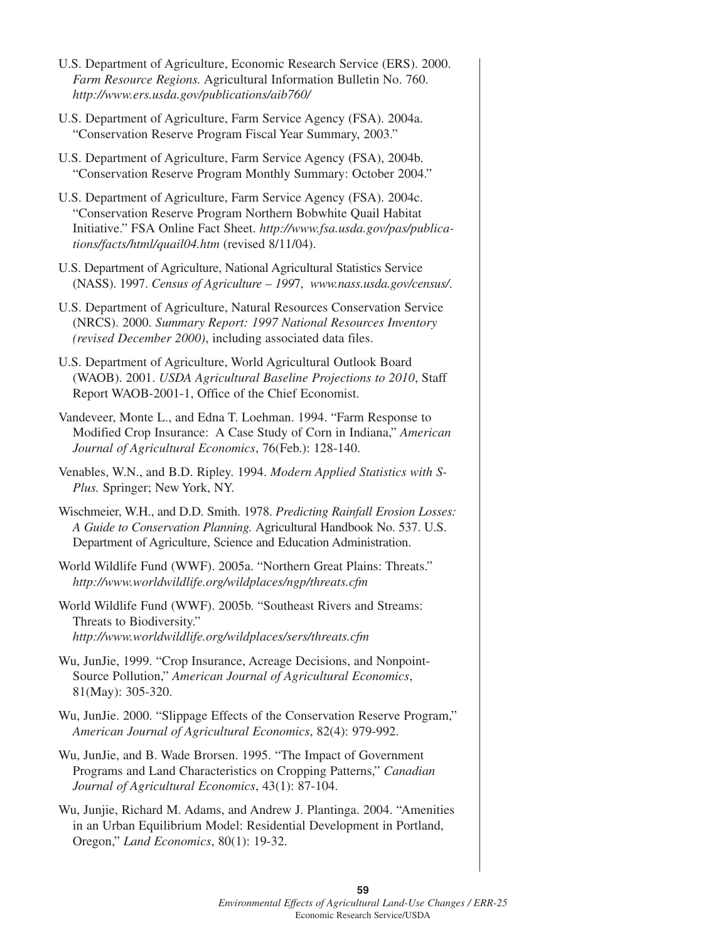| U.S. Department of Agriculture, Economic Research Service (ERS). 2000.<br>Farm Resource Regions. Agricultural Information Bulletin No. 760.<br>http://www.ers.usda.gov/publications/aib760/                                                                       |  |
|-------------------------------------------------------------------------------------------------------------------------------------------------------------------------------------------------------------------------------------------------------------------|--|
| U.S. Department of Agriculture, Farm Service Agency (FSA). 2004a.<br>"Conservation Reserve Program Fiscal Year Summary, 2003."                                                                                                                                    |  |
| U.S. Department of Agriculture, Farm Service Agency (FSA), 2004b.<br>"Conservation Reserve Program Monthly Summary: October 2004."                                                                                                                                |  |
| U.S. Department of Agriculture, Farm Service Agency (FSA). 2004c.<br>"Conservation Reserve Program Northern Bobwhite Quail Habitat<br>Initiative." FSA Online Fact Sheet. http://www.fsa.usda.gov/pas/publica-<br>tions/facts/html/quail04.htm (revised 8/11/04). |  |
| U.S. Department of Agriculture, National Agricultural Statistics Service<br>(NASS). 1997. Census of Agriculture - 1997, www.nass.usda.gov/census/.                                                                                                                |  |
| U.S. Department of Agriculture, Natural Resources Conservation Service<br>(NRCS). 2000. Summary Report: 1997 National Resources Inventory<br>(revised December 2000), including associated data files.                                                            |  |
| U.S. Department of Agriculture, World Agricultural Outlook Board<br>(WAOB). 2001. USDA Agricultural Baseline Projections to 2010, Staff<br>Report WAOB-2001-1, Office of the Chief Economist.                                                                     |  |
| Vandeveer, Monte L., and Edna T. Loehman. 1994. "Farm Response to<br>Modified Crop Insurance: A Case Study of Corn in Indiana," American<br>Journal of Agricultural Economics, 76(Feb.): 128-140.                                                                 |  |
| Venables, W.N., and B.D. Ripley. 1994. Modern Applied Statistics with S-<br>Plus. Springer; New York, NY.                                                                                                                                                         |  |
| Wischmeier, W.H., and D.D. Smith. 1978. Predicting Rainfall Erosion Losses:<br>A Guide to Conservation Planning. Agricultural Handbook No. 537. U.S.<br>Department of Agriculture, Science and Education Administration.                                          |  |
| World Wildlife Fund (WWF). 2005a. "Northern Great Plains: Threats."<br>http://www.worldwildlife.org/wildplaces/ngp/threats.cfm                                                                                                                                    |  |
| World Wildlife Fund (WWF). 2005b. "Southeast Rivers and Streams:<br>Threats to Biodiversity."<br>http://www.worldwildlife.org/wildplaces/sers/threats.cfm                                                                                                         |  |
| Wu, JunJie, 1999. "Crop Insurance, Acreage Decisions, and Nonpoint-<br>Source Pollution," American Journal of Agricultural Economics,<br>81(May): 305-320.                                                                                                        |  |
| Wu, JunJie. 2000. "Slippage Effects of the Conservation Reserve Program,"<br>American Journal of Agricultural Economics, 82(4): 979-992.                                                                                                                          |  |
| Wu, JunJie, and B. Wade Brorsen. 1995. "The Impact of Government<br>Programs and Land Characteristics on Cropping Patterns," Canadian<br>Journal of Agricultural Economics, 43(1): 87-104.                                                                        |  |
| Wu, Junjie, Richard M. Adams, and Andrew J. Plantinga. 2004. "Amenities<br>in an Urban Equilibrium Model: Residential Development in Portland,<br>Oregon," Land Economics, 80(1): 19-32.                                                                          |  |